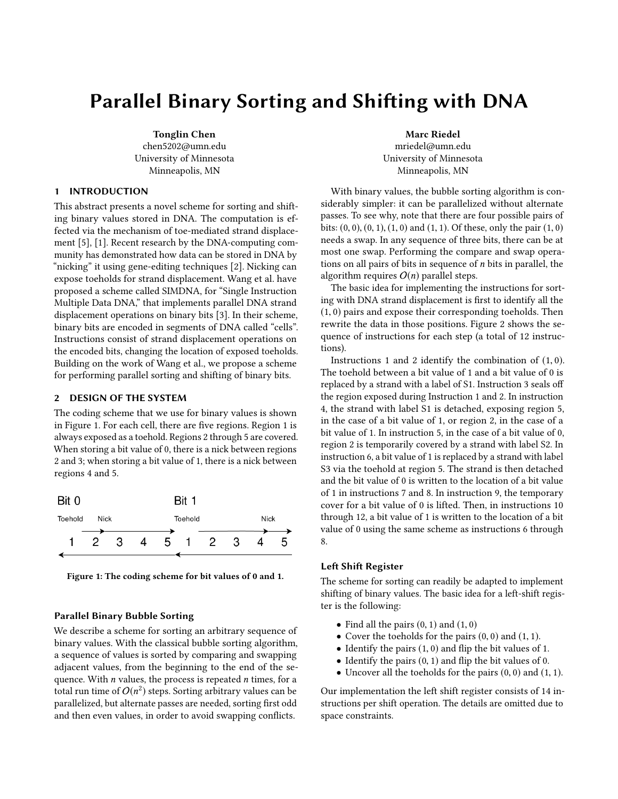# Parallel Binary Sorting and Shifting with DNA

Tonglin Chen chen5202@umn.edu University of Minnesota Minneapolis, MN

# 1 INTRODUCTION

This abstract presents a novel scheme for sorting and shifting binary values stored in DNA. The computation is effected via the mechanism of toe-mediated strand displacement [\[5\]](#page-1-0), [\[1\]](#page-1-1). Recent research by the DNA-computing community has demonstrated how data can be stored in DNA by "nicking" it using gene-editing techniques [\[2\]](#page-1-2). Nicking can expose toeholds for strand displacement. Wang et al. have proposed a scheme called SIMDNA, for "Single Instruction Multiple Data DNA," that implements parallel DNA strand displacement operations on binary bits [\[3\]](#page-1-3). In their scheme, binary bits are encoded in segments of DNA called "cells". Instructions consist of strand displacement operations on the encoded bits, changing the location of exposed toeholds. Building on the work of Wang et al., we propose a scheme for performing parallel sorting and shifting of binary bits.

## 2 DESIGN OF THE SYSTEM

The coding scheme that we use for binary values is shown in Figure [1.](#page-0-0) For each cell, there are five regions. Region 1 is always exposed as a toehold. Regions 2 through 5 are covered. When storing a bit value of 0, there is a nick between regions 2 and 3; when storing a bit value of 1, there is a nick between regions 4 and 5.

<span id="page-0-0"></span>



# Parallel Binary Bubble Sorting

We describe a scheme for sorting an arbitrary sequence of binary values. With the classical bubble sorting algorithm, a sequence of values is sorted by comparing and swapping adjacent values, from the beginning to the end of the sequence. With  $n$  values, the process is repeated  $n$  times, for a total run time of  $O(n^2)$  steps. Sorting arbitrary values can be parallelized, but alternate passes are needed, sorting first odd and then even values, in order to avoid swapping conflicts.

Marc Riedel mriedel@umn.edu University of Minnesota Minneapolis, MN

With binary values, the bubble sorting algorithm is considerably simpler: it can be parallelized without alternate passes. To see why, note that there are four possible pairs of bits:  $(0, 0), (0, 1), (1, 0)$  and  $(1, 1)$ . Of these, only the pair  $(1, 0)$ needs a swap. In any sequence of three bits, there can be at most one swap. Performing the compare and swap operations on all pairs of bits in sequence of  $n$  bits in parallel, the algorithm requires  $O(n)$  parallel steps.

The basic idea for implementing the instructions for sorting with DNA strand displacement is first to identify all the (1, <sup>0</sup>) pairs and expose their corresponding toeholds. Then rewrite the data in those positions. Figure [2](#page-1-4) shows the sequence of instructions for each step (a total of 12 instructions).

Instructions 1 and 2 identify the combination of (1, <sup>0</sup>). The toehold between a bit value of 1 and a bit value of 0 is replaced by a strand with a label of S1. Instruction 3 seals off the region exposed during Instruction 1 and 2. In instruction 4, the strand with label S1 is detached, exposing region 5, in the case of a bit value of 1, or region 2, in the case of a bit value of 1. In instruction 5, in the case of a bit value of 0, region 2 is temporarily covered by a strand with label S2. In instruction 6, a bit value of 1 is replaced by a strand with label S3 via the toehold at region 5. The strand is then detached and the bit value of 0 is written to the location of a bit value of 1 in instructions 7 and 8. In instruction 9, the temporary cover for a bit value of 0 is lifted. Then, in instructions 10 through 12, a bit value of 1 is written to the location of a bit value of 0 using the same scheme as instructions 6 through 8.

# Left Shift Register

The scheme for sorting can readily be adapted to implement shifting of binary values. The basic idea for a left-shift register is the following:

- Find all the pairs  $(0, 1)$  and  $(1, 0)$
- Cover the toeholds for the pairs  $(0, 0)$  and  $(1, 1)$ .
- Identify the pairs (1, <sup>0</sup>) and flip the bit values of 1.
- Identify the pairs  $(0, 1)$  and flip the bit values of 0.
- Uncover all the toeholds for the pairs  $(0, 0)$  and  $(1, 1)$ .

Our implementation the left shift register consists of 14 instructions per shift operation. The details are omitted due to space constraints.